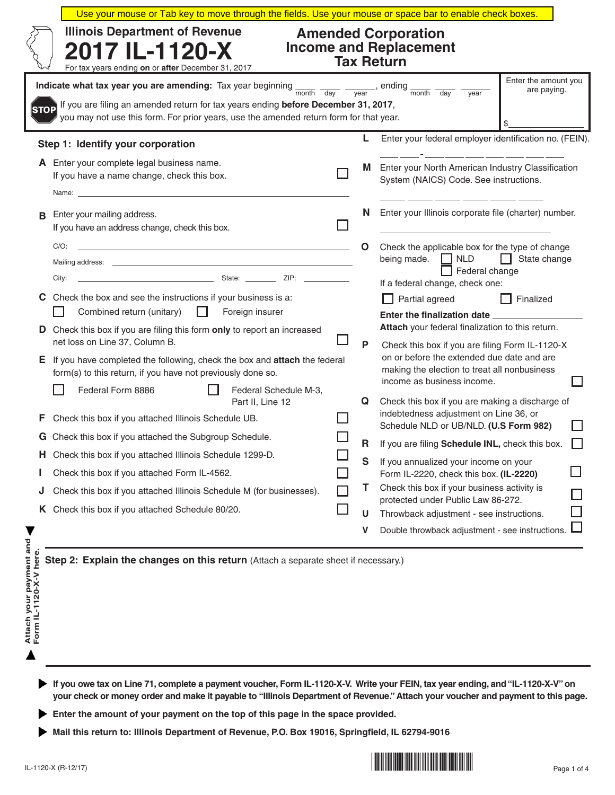| <b>Illinois Department of Revenue</b><br><b>Amended Corporation</b><br><b>Income and Replacement</b><br>2017 IL-1120-X<br><b>Tax Return</b><br>For tax years ending on or after December 31, 2017<br>Enter the amount you<br>Indicate what tax year you are amending: Tax year beginning $\frac{1}{\text{month}}$ $\frac{1}{\text{day}}$<br>$\frac{1}{\sqrt{1-\frac{1}{\sqrt{1-\frac{1}{\sqrt{1-\frac{1}{\sqrt{1-\frac{1}{\sqrt{1-\frac{1}{\sqrt{1-\frac{1}{\sqrt{1-\frac{1}{\sqrt{1-\frac{1}{\sqrt{1-\frac{1}{\sqrt{1-\frac{1}{\sqrt{1-\frac{1}{\sqrt{1-\frac{1}{\sqrt{1-\frac{1}{\sqrt{1-\frac{1}{\sqrt{1-\frac{1}{\sqrt{1-\frac{1}{\sqrt{1-\frac{1}{\sqrt{1-\frac{1}{\sqrt{1-\frac{1}{\sqrt{1-\frac{1}{\sqrt{1-\frac{1}{\sqrt{1-\frac{1}{\sqrt{1-\frac{1}{\sqrt{1-\frac{1$<br>are paying.<br>$\overline{day}$<br>vear |                                                                                                                                                                                                                                                                                                                                                                                                                                              |  |        |                                                                                                                                                   |  |  |  |  |
|--------------------------------------------------------------------------------------------------------------------------------------------------------------------------------------------------------------------------------------------------------------------------------------------------------------------------------------------------------------------------------------------------------------------------------------------------------------------------------------------------------------------------------------------------------------------------------------------------------------------------------------------------------------------------------------------------------------------------------------------------------------------------------------------------------------------------|----------------------------------------------------------------------------------------------------------------------------------------------------------------------------------------------------------------------------------------------------------------------------------------------------------------------------------------------------------------------------------------------------------------------------------------------|--|--------|---------------------------------------------------------------------------------------------------------------------------------------------------|--|--|--|--|
| STOP                                                                                                                                                                                                                                                                                                                                                                                                                                                                                                                                                                                                                                                                                                                                                                                                                     | If you are filing an amended return for tax years ending before December 31, 2017,<br>you may not use this form. For prior years, use the amended return form for that year.                                                                                                                                                                                                                                                                 |  |        |                                                                                                                                                   |  |  |  |  |
|                                                                                                                                                                                                                                                                                                                                                                                                                                                                                                                                                                                                                                                                                                                                                                                                                          | Step 1: Identify your corporation                                                                                                                                                                                                                                                                                                                                                                                                            |  | L      | Enter your federal employer identification no. (FEIN).                                                                                            |  |  |  |  |
|                                                                                                                                                                                                                                                                                                                                                                                                                                                                                                                                                                                                                                                                                                                                                                                                                          | A Enter your complete legal business name.<br>If you have a name change, check this box.                                                                                                                                                                                                                                                                                                                                                     |  | M      | Enter your North American Industry Classification<br>System (NAICS) Code. See instructions.                                                       |  |  |  |  |
| в                                                                                                                                                                                                                                                                                                                                                                                                                                                                                                                                                                                                                                                                                                                                                                                                                        | Enter your mailing address.<br>If you have an address change, check this box.                                                                                                                                                                                                                                                                                                                                                                |  | N      | Enter your Illinois corporate file (charter) number.                                                                                              |  |  |  |  |
|                                                                                                                                                                                                                                                                                                                                                                                                                                                                                                                                                                                                                                                                                                                                                                                                                          | $C/O$ :<br>the control of the control of the control of the control of the control of the control of<br>Mailing address:<br>City:                                                                                                                                                                                                                                                                                                            |  | O      | Check the applicable box for the type of change<br>being made. $\Box$ NLD<br>$\Box$ State change<br>Federal change                                |  |  |  |  |
| C.                                                                                                                                                                                                                                                                                                                                                                                                                                                                                                                                                                                                                                                                                                                                                                                                                       | Check the box and see the instructions if your business is a:<br>Combined return (unitary)<br>$\perp$<br>Foreign insurer                                                                                                                                                                                                                                                                                                                     |  |        | If a federal change, check one:<br>Partial agreed<br>Finalized<br>Enter the finalization date __________                                          |  |  |  |  |
| D                                                                                                                                                                                                                                                                                                                                                                                                                                                                                                                                                                                                                                                                                                                                                                                                                        | Check this box if you are filing this form only to report an increased<br>net loss on Line 37, Column B.                                                                                                                                                                                                                                                                                                                                     |  | P      | Attach your federal finalization to this return.<br>Check this box if you are filing Form IL-1120-X<br>on or before the extended due date and are |  |  |  |  |
| Е,                                                                                                                                                                                                                                                                                                                                                                                                                                                                                                                                                                                                                                                                                                                                                                                                                       | If you have completed the following, check the box and attach the federal<br>form(s) to this return, if you have not previously done so.<br>Federal Form 8886<br>Federal Schedule M-3,                                                                                                                                                                                                                                                       |  |        | making the election to treat all nonbusiness<br>income as business income.                                                                        |  |  |  |  |
| F                                                                                                                                                                                                                                                                                                                                                                                                                                                                                                                                                                                                                                                                                                                                                                                                                        | Part II, Line 12<br>Check this box if you attached Illinois Schedule UB.                                                                                                                                                                                                                                                                                                                                                                     |  | Q      | Check this box if you are making a discharge of<br>indebtedness adjustment on Line 36, or<br>Schedule NLD or UB/NLD. (U.S Form 982)               |  |  |  |  |
|                                                                                                                                                                                                                                                                                                                                                                                                                                                                                                                                                                                                                                                                                                                                                                                                                          | G Check this box if you attached the Subgroup Schedule.<br><b>H</b> Check this box if you attached Illinois Schedule 1299-D.                                                                                                                                                                                                                                                                                                                 |  | R<br>S | If you are filing Schedule INL, check this box.<br>If you annualized your income on your                                                          |  |  |  |  |
|                                                                                                                                                                                                                                                                                                                                                                                                                                                                                                                                                                                                                                                                                                                                                                                                                          | Check this box if you attached Form IL-4562.                                                                                                                                                                                                                                                                                                                                                                                                 |  |        | Form IL-2220, check this box. (IL-2220)                                                                                                           |  |  |  |  |
| J                                                                                                                                                                                                                                                                                                                                                                                                                                                                                                                                                                                                                                                                                                                                                                                                                        | Check this box if you attached Illinois Schedule M (for businesses).<br>K Check this box if you attached Schedule 80/20.                                                                                                                                                                                                                                                                                                                     |  | T      | Check this box if your business activity is<br>protected under Public Law 86-272.                                                                 |  |  |  |  |
|                                                                                                                                                                                                                                                                                                                                                                                                                                                                                                                                                                                                                                                                                                                                                                                                                          |                                                                                                                                                                                                                                                                                                                                                                                                                                              |  | U<br>v | Throwback adjustment - see instructions.<br>Double throwback adjustment - see instructions.                                                       |  |  |  |  |
| Attach your payment and<br>Form IL-1120-X-V here.                                                                                                                                                                                                                                                                                                                                                                                                                                                                                                                                                                                                                                                                                                                                                                        | Step 2: Explain the changes on this return (Attach a separate sheet if necessary.)<br>If you owe tax on Line 71, complete a payment voucher, Form IL-1120-X-V. Write your FEIN, tax year ending, and "IL-1120-X-V" on<br>your check or money order and make it payable to "Illinois Department of Revenue." Attach your voucher and payment to this page.<br>Enter the amount of your payment on the top of this page in the space provided. |  |        |                                                                                                                                                   |  |  |  |  |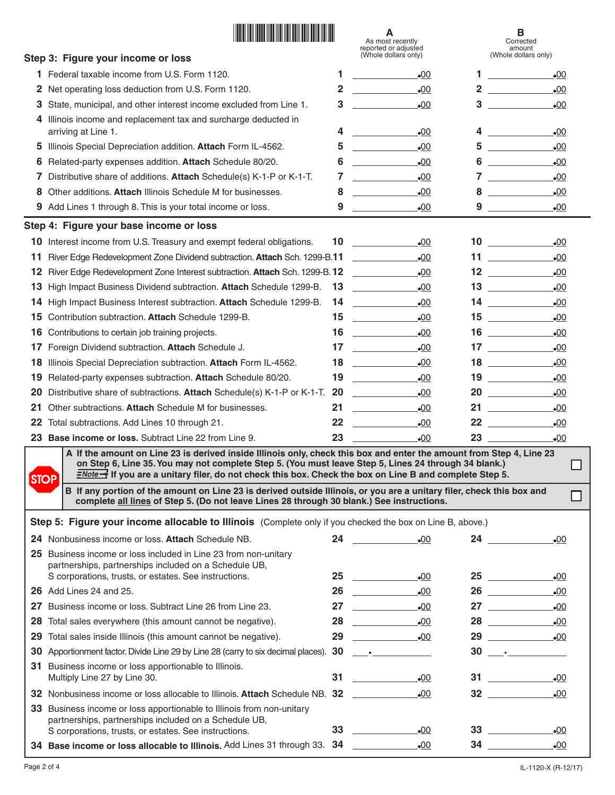|             | <u> Hillingan ma'lumot</u>                                                                                                                                                                                                                                                                                                                                                                                                                                |                 | А<br>As most recently<br>reported or adjusted<br>(Whole dollars only)                                                                                                                                                                                                                                                                                                                                                                                                  |                | в<br>Corrected<br>amount                                                                                                                                                       |
|-------------|-----------------------------------------------------------------------------------------------------------------------------------------------------------------------------------------------------------------------------------------------------------------------------------------------------------------------------------------------------------------------------------------------------------------------------------------------------------|-----------------|------------------------------------------------------------------------------------------------------------------------------------------------------------------------------------------------------------------------------------------------------------------------------------------------------------------------------------------------------------------------------------------------------------------------------------------------------------------------|----------------|--------------------------------------------------------------------------------------------------------------------------------------------------------------------------------|
|             | Step 3: Figure your income or loss                                                                                                                                                                                                                                                                                                                                                                                                                        |                 |                                                                                                                                                                                                                                                                                                                                                                                                                                                                        |                | (Whole dollars only)                                                                                                                                                           |
| 1.          | Federal taxable income from U.S. Form 1120.                                                                                                                                                                                                                                                                                                                                                                                                               | 1               | $\bullet$ 00                                                                                                                                                                                                                                                                                                                                                                                                                                                           | 1.             | $\bullet$ 00                                                                                                                                                                   |
| 2           | Net operating loss deduction from U.S. Form 1120.                                                                                                                                                                                                                                                                                                                                                                                                         | $\overline{2}$  | $\bullet$ 00                                                                                                                                                                                                                                                                                                                                                                                                                                                           |                | $2 \overline{\phantom{a} \phantom{a} \phantom{a}}$<br>$\bullet$ 00                                                                                                             |
| 3           | State, municipal, and other interest income excluded from Line 1.                                                                                                                                                                                                                                                                                                                                                                                         | 3               | $-00$                                                                                                                                                                                                                                                                                                                                                                                                                                                                  |                | $3 \quad \text{or} \quad$<br>$\bullet$ 00                                                                                                                                      |
|             | Illinois income and replacement tax and surcharge deducted in<br>arriving at Line 1.                                                                                                                                                                                                                                                                                                                                                                      | 4               | $\bullet$ 00                                                                                                                                                                                                                                                                                                                                                                                                                                                           |                | $4\overline{ }$<br>$\bullet$ 00                                                                                                                                                |
| 5           | Illinois Special Depreciation addition. Attach Form IL-4562.                                                                                                                                                                                                                                                                                                                                                                                              | 5               | $\bullet$ 00                                                                                                                                                                                                                                                                                                                                                                                                                                                           |                | $5 \overline{\phantom{a}}$<br>$\bullet$ 00                                                                                                                                     |
| 6           | Related-party expenses addition. Attach Schedule 80/20.                                                                                                                                                                                                                                                                                                                                                                                                   | 6               | $\bullet$ 00                                                                                                                                                                                                                                                                                                                                                                                                                                                           | 6              | $\bullet$ 00                                                                                                                                                                   |
|             | Distributive share of additions. Attach Schedule(s) K-1-P or K-1-T.                                                                                                                                                                                                                                                                                                                                                                                       | 7               | $\label{eq:2.1} \frac{1}{\sqrt{2}}\left(\frac{1}{\sqrt{2}}\right)^{2} \left(\frac{1}{\sqrt{2}}\right)^{2} \left(\frac{1}{\sqrt{2}}\right)^{2} \left(\frac{1}{\sqrt{2}}\right)^{2} \left(\frac{1}{\sqrt{2}}\right)^{2} \left(\frac{1}{\sqrt{2}}\right)^{2} \left(\frac{1}{\sqrt{2}}\right)^{2} \left(\frac{1}{\sqrt{2}}\right)^{2} \left(\frac{1}{\sqrt{2}}\right)^{2} \left(\frac{1}{\sqrt{2}}\right)^{2} \left(\frac{1}{\sqrt{2}}\right)^{2} \left(\$<br>$\bullet$ 00 | $\overline{7}$ | $\label{eq:2.1} \frac{1}{\sqrt{2\pi}}\left(\frac{1}{\sqrt{2\pi}}\right)^{1/2}\left(\frac{1}{\sqrt{2\pi}}\right)^{1/2}\left(\frac{1}{\sqrt{2\pi}}\right)^{1/2}$<br>$\bullet$ 00 |
| 8           | Other additions. Attach Illinois Schedule M for businesses.                                                                                                                                                                                                                                                                                                                                                                                               | 8               | $\bullet$ 00                                                                                                                                                                                                                                                                                                                                                                                                                                                           | 8              | $\bullet$ 00                                                                                                                                                                   |
| 9           | Add Lines 1 through 8. This is your total income or loss.                                                                                                                                                                                                                                                                                                                                                                                                 | 9               | $\bullet$ 00                                                                                                                                                                                                                                                                                                                                                                                                                                                           |                | $\bullet$ 00                                                                                                                                                                   |
|             | Step 4: Figure your base income or loss                                                                                                                                                                                                                                                                                                                                                                                                                   |                 |                                                                                                                                                                                                                                                                                                                                                                                                                                                                        |                |                                                                                                                                                                                |
| 10          | Interest income from U.S. Treasury and exempt federal obligations.                                                                                                                                                                                                                                                                                                                                                                                        | 10 <sup>°</sup> | <u> Tanzania (</u><br>$\bullet$ 00                                                                                                                                                                                                                                                                                                                                                                                                                                     |                | $\bullet$ 00                                                                                                                                                                   |
| 11          | River Edge Redevelopment Zone Dividend subtraction. Attach Sch. 1299-B.11                                                                                                                                                                                                                                                                                                                                                                                 |                 | .00<br><u> a strong and the strong strong and the strong strong strong and the strong strong strong strong strong strong</u>                                                                                                                                                                                                                                                                                                                                           |                | 11 $\frac{1}{\sqrt{1-\frac{1}{2}}\left\vert \frac{1}{2(1-\frac{1}{2})}\right\vert }$<br>$\bullet$ 00                                                                           |
| 12          | River Edge Redevelopment Zone Interest subtraction. Attach Sch. 1299-B. 12                                                                                                                                                                                                                                                                                                                                                                                |                 | $\bullet$ 00                                                                                                                                                                                                                                                                                                                                                                                                                                                           |                | $\bullet$ 00                                                                                                                                                                   |
| 13          | High Impact Business Dividend subtraction. Attach Schedule 1299-B.                                                                                                                                                                                                                                                                                                                                                                                        | 13              | .00                                                                                                                                                                                                                                                                                                                                                                                                                                                                    |                | $13 \overline{\phantom{13321}}$<br>$\bullet$ 00                                                                                                                                |
| 14          | High Impact Business Interest subtraction. Attach Schedule 1299-B.                                                                                                                                                                                                                                                                                                                                                                                        | 14              | $\mathcal{L}_{\text{max}}$ and $\mathcal{L}_{\text{max}}$<br>$\bullet$ 00                                                                                                                                                                                                                                                                                                                                                                                              |                | $\bullet$ 00                                                                                                                                                                   |
| 15          | Contribution subtraction. Attach Schedule 1299-B.                                                                                                                                                                                                                                                                                                                                                                                                         |                 | .00                                                                                                                                                                                                                                                                                                                                                                                                                                                                    |                | $\bullet$ 00                                                                                                                                                                   |
| 16          | Contributions to certain job training projects.                                                                                                                                                                                                                                                                                                                                                                                                           |                 | $16 \quad \qquad$<br>$-00$                                                                                                                                                                                                                                                                                                                                                                                                                                             |                | $16 \quad \overline{\quad}$<br>$\bullet$ 00                                                                                                                                    |
| 17          | Foreign Dividend subtraction. Attach Schedule J.                                                                                                                                                                                                                                                                                                                                                                                                          |                 | $17 \quad \underline{\hspace{1cm}}$<br>.00                                                                                                                                                                                                                                                                                                                                                                                                                             |                | $\bullet$ 00                                                                                                                                                                   |
| 18          | Illinois Special Depreciation subtraction. Attach Form IL-4562.                                                                                                                                                                                                                                                                                                                                                                                           | 18              | $\label{eq:2} \frac{1}{\sqrt{2\pi}}\left(\frac{1}{\sqrt{2\pi}}\right)^{1/2}\left(\frac{1}{\sqrt{2\pi}}\right)^{1/2}\left(\frac{1}{\sqrt{2\pi}}\right)^{1/2}\left(\frac{1}{\sqrt{2\pi}}\right)^{1/2}\left(\frac{1}{\sqrt{2\pi}}\right)^{1/2}\left(\frac{1}{\sqrt{2\pi}}\right)^{1/2}\left(\frac{1}{\sqrt{2\pi}}\right)^{1/2}\left(\frac{1}{\sqrt{2\pi}}\right)^{1/2}\left(\frac{1}{\sqrt{2\pi}}\right)^{1/2}\left(\frac{1}{\sqrt{2\$<br>.00                             |                | $\bullet$ 00                                                                                                                                                                   |
| 19          |                                                                                                                                                                                                                                                                                                                                                                                                                                                           | 19              | $-00$                                                                                                                                                                                                                                                                                                                                                                                                                                                                  |                | $\bullet$ 00                                                                                                                                                                   |
|             | Related-party expenses subtraction. Attach Schedule 80/20.                                                                                                                                                                                                                                                                                                                                                                                                | 20              | .00                                                                                                                                                                                                                                                                                                                                                                                                                                                                    |                | $20$ and $\sim$<br>$\bullet$ 00                                                                                                                                                |
| 20<br>21    | Distributive share of subtractions. Attach Schedule(s) K-1-P or K-1-T.<br>Other subtractions. Attach Schedule M for businesses.                                                                                                                                                                                                                                                                                                                           | 21              |                                                                                                                                                                                                                                                                                                                                                                                                                                                                        |                |                                                                                                                                                                                |
|             |                                                                                                                                                                                                                                                                                                                                                                                                                                                           | $22 \,$         | $-00$<br>$\bullet$ 00                                                                                                                                                                                                                                                                                                                                                                                                                                                  |                | $-00$<br>22<br>$\bullet$ 00                                                                                                                                                    |
| 22          | Total subtractions. Add Lines 10 through 21.<br>23 Base income or loss. Subtract Line 22 from Line 9.                                                                                                                                                                                                                                                                                                                                                     | 23              | .00                                                                                                                                                                                                                                                                                                                                                                                                                                                                    |                |                                                                                                                                                                                |
|             | A If the amount on Line 23 is derived inside Illinois only, check this box and enter the amount from Step 4, Line 23                                                                                                                                                                                                                                                                                                                                      |                 |                                                                                                                                                                                                                                                                                                                                                                                                                                                                        |                | $-00$                                                                                                                                                                          |
| <b>STOP</b> | on Step 6, Line 35. You may not complete Step 5. (You must leave Step 5, Lines 24 through 34 blank.)<br>$\frac{Note\rightarrow}{N}$ If you are a unitary filer, do not check this box. Check the box on Line B and complete Step 5.<br>B If any portion of the amount on Line 23 is derived outside Illinois, or you are a unitary filer, check this box and<br>complete all lines of Step 5. (Do not leave Lines 28 through 30 blank.) See instructions. |                 |                                                                                                                                                                                                                                                                                                                                                                                                                                                                        |                |                                                                                                                                                                                |
|             | Step 5: Figure your income allocable to Illinois (Complete only if you checked the box on Line B, above.)                                                                                                                                                                                                                                                                                                                                                 |                 |                                                                                                                                                                                                                                                                                                                                                                                                                                                                        |                |                                                                                                                                                                                |
|             | 24 Nonbusiness income or loss. Attach Schedule NB.                                                                                                                                                                                                                                                                                                                                                                                                        |                 |                                                                                                                                                                                                                                                                                                                                                                                                                                                                        |                | 24<br>$\bullet$ 00                                                                                                                                                             |
|             | 25 Business income or loss included in Line 23 from non-unitary<br>partnerships, partnerships included on a Schedule UB,                                                                                                                                                                                                                                                                                                                                  |                 |                                                                                                                                                                                                                                                                                                                                                                                                                                                                        |                |                                                                                                                                                                                |
|             | S corporations, trusts, or estates. See instructions.                                                                                                                                                                                                                                                                                                                                                                                                     |                 | 25<br>.00                                                                                                                                                                                                                                                                                                                                                                                                                                                              |                | .00                                                                                                                                                                            |
|             | <b>26</b> Add Lines 24 and 25.                                                                                                                                                                                                                                                                                                                                                                                                                            |                 | $-00$                                                                                                                                                                                                                                                                                                                                                                                                                                                                  |                | $\bullet$ 00                                                                                                                                                                   |
| 27          | Business income or loss. Subtract Line 26 from Line 23.                                                                                                                                                                                                                                                                                                                                                                                                   |                 | $\bullet$ 00                                                                                                                                                                                                                                                                                                                                                                                                                                                           |                | 27 $\qquad$<br>$-00$                                                                                                                                                           |
| 28          | Total sales everywhere (this amount cannot be negative).                                                                                                                                                                                                                                                                                                                                                                                                  |                 |                                                                                                                                                                                                                                                                                                                                                                                                                                                                        |                | 28 - 00                                                                                                                                                                        |
| 29          | Total sales inside Illinois (this amount cannot be negative).                                                                                                                                                                                                                                                                                                                                                                                             |                 | 29<br>$\bullet$ 00                                                                                                                                                                                                                                                                                                                                                                                                                                                     |                | 29<br>$\bullet$ 00                                                                                                                                                             |
| 30          | Apportionment factor. Divide Line 29 by Line 28 (carry to six decimal places). 30 _________________                                                                                                                                                                                                                                                                                                                                                       |                 |                                                                                                                                                                                                                                                                                                                                                                                                                                                                        |                |                                                                                                                                                                                |
|             | 31 Business income or loss apportionable to Illinois.<br>Multiply Line 27 by Line 30.                                                                                                                                                                                                                                                                                                                                                                     |                 | $-00$                                                                                                                                                                                                                                                                                                                                                                                                                                                                  |                | $31 \quad \qquad$<br>$-00$                                                                                                                                                     |
|             | 32 Nonbusiness income or loss allocable to Illinois. Attach Schedule NB. 32                                                                                                                                                                                                                                                                                                                                                                               |                 | $\bullet$ 00                                                                                                                                                                                                                                                                                                                                                                                                                                                           |                | $32 \quad \overline{\quad}$<br>$\bullet$ 00                                                                                                                                    |
|             | 33 Business income or loss apportionable to Illinois from non-unitary<br>partnerships, partnerships included on a Schedule UB,                                                                                                                                                                                                                                                                                                                            |                 |                                                                                                                                                                                                                                                                                                                                                                                                                                                                        |                |                                                                                                                                                                                |
|             | S corporations, trusts, or estates. See instructions.                                                                                                                                                                                                                                                                                                                                                                                                     |                 | 33<br>$\bullet$ 00                                                                                                                                                                                                                                                                                                                                                                                                                                                     |                | $\bullet$ 00                                                                                                                                                                   |

**Base income or loss allocable to Illinois.** Add Lines 31 through 33. **34** 00 **34 1 34 1 34 1**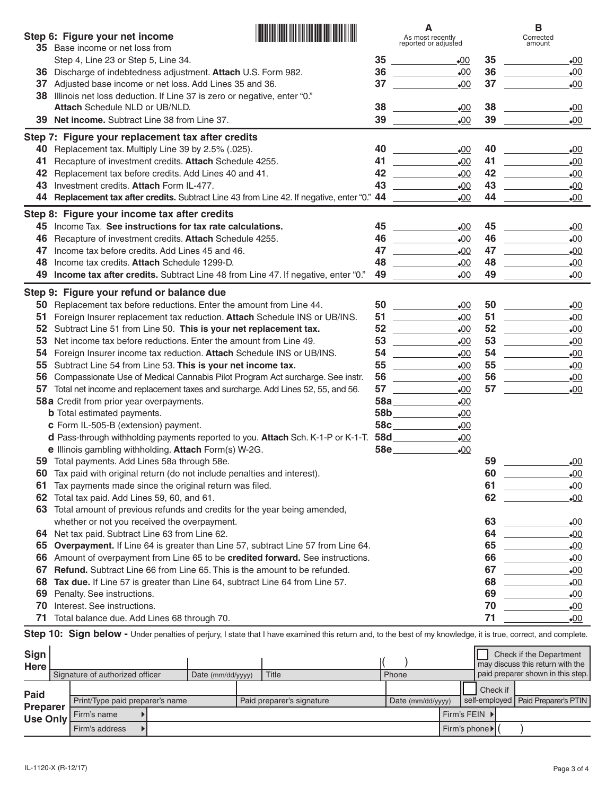|          | Step 6: Figure your net income                                                                                                                                  |          | As most recently<br>reported or adjusted                                                                                        |          | в<br>Corrected<br>amount                                                                                |
|----------|-----------------------------------------------------------------------------------------------------------------------------------------------------------------|----------|---------------------------------------------------------------------------------------------------------------------------------|----------|---------------------------------------------------------------------------------------------------------|
|          | 35 Base income or net loss from                                                                                                                                 |          |                                                                                                                                 |          |                                                                                                         |
|          | Step 4, Line 23 or Step 5, Line 34.                                                                                                                             | 35<br>36 | $\bullet$ 00<br>$\mathcal{L}(\mathcal{L}^{\mathcal{L}})$ and $\mathcal{L}^{\mathcal{L}}$ and $\mathcal{L}^{\mathcal{L}}$<br>.00 | 35<br>36 | <u>and the state of the state</u><br>$\bullet$ 00<br>$-00$                                              |
| 36<br>37 | Discharge of indebtedness adjustment. Attach U.S. Form 982.<br>Adjusted base income or net loss. Add Lines 35 and 36.                                           | 37       | $-00$                                                                                                                           | 37       | $-00$                                                                                                   |
| 38       | Illinois net loss deduction. If Line 37 is zero or negative, enter "0."                                                                                         |          |                                                                                                                                 |          |                                                                                                         |
|          | Attach Schedule NLD or UB/NLD.                                                                                                                                  | 38       | .00                                                                                                                             | 38       | $\bullet$ 00                                                                                            |
|          | 39 Net income. Subtract Line 38 from Line 37.                                                                                                                   |          | $\begin{array}{c c} 39 & \text{---} \end{array}$<br>$-00$                                                                       | 39       | $-00$                                                                                                   |
|          | Step 7: Figure your replacement tax after credits                                                                                                               |          |                                                                                                                                 |          |                                                                                                         |
| 40       | Replacement tax. Multiply Line 39 by 2.5% (.025).                                                                                                               | 40       | $\bullet$ 00                                                                                                                    | 40       | $\bullet$ 00                                                                                            |
| 41       | Recapture of investment credits. Attach Schedule 4255.                                                                                                          | 41       | $-00$                                                                                                                           | 41       | $-00$<br>$\mathcal{L}^{\text{max}}_{\text{max}}$ , where $\mathcal{L}^{\text{max}}_{\text{max}}$        |
| 42       | Replacement tax before credits. Add Lines 40 and 41.                                                                                                            | 42       | $\mathcal{L}^{\text{max}}$ , where $\mathcal{L}^{\text{max}}$<br>.00                                                            | 42       | $_{\odot}$ OO                                                                                           |
| 43       | Investment credits. Attach Form IL-477.                                                                                                                         | 43       | $_{\odot}$ OO                                                                                                                   | 43       | $_{\odot}$ OO                                                                                           |
| 44       | <b>Replacement tax after credits.</b> Subtract Line 43 from Line 42. If negative, enter "0." 44                                                                 |          | $\bullet$ 00                                                                                                                    | 44       | $\bullet$ 00                                                                                            |
|          | Step 8: Figure your income tax after credits                                                                                                                    |          |                                                                                                                                 |          |                                                                                                         |
| 45       | Income Tax. See instructions for tax rate calculations.                                                                                                         |          | $_{\bullet}00$                                                                                                                  | 45       | $_{\bullet}00$                                                                                          |
| 46       | Recapture of investment credits. Attach Schedule 4255.                                                                                                          | 46       | $-00$                                                                                                                           | 46       | $\mathcal{L}^{\text{max}}_{\text{max}}$ , where $\mathcal{L}^{\text{max}}_{\text{max}}$<br>$\bullet$ 00 |
| 47       | Income tax before credits. Add Lines 45 and 46.                                                                                                                 | 47       | $\mathcal{L}^{\text{max}}$ and $\mathcal{L}^{\text{max}}$ . The set of $\mathcal{L}^{\text{max}}$<br>$_{\bullet}00$             | 47       | <u>and the state</u><br>$_{\bullet}00$                                                                  |
| 48       | Income tax credits. Attach Schedule 1299-D.                                                                                                                     | 48       | $_{\bullet}00$                                                                                                                  | 48       | $_{\odot}$                                                                                              |
| 49       | Income tax after credits. Subtract Line 48 from Line 47. If negative, enter "0."                                                                                |          | 49 — 200<br>$\bullet$ 00                                                                                                        | 49       | $\bullet$ 00                                                                                            |
|          | Step 9: Figure your refund or balance due                                                                                                                       |          |                                                                                                                                 |          |                                                                                                         |
| 50       | Replacement tax before reductions. Enter the amount from Line 44.                                                                                               |          | $_{\bullet}00$                                                                                                                  |          | $-00$                                                                                                   |
| 51       | Foreign Insurer replacement tax reduction. Attach Schedule INS or UB/INS.                                                                                       |          | 51<br>$-00$                                                                                                                     | 51       | $-00$<br><u> The Communication</u>                                                                      |
| 52       | Subtract Line 51 from Line 50. This is your net replacement tax.                                                                                                |          | $_{\bullet}00$                                                                                                                  | 52       | $\frac{1}{2}$ and $\frac{1}{2}$ and $\frac{1}{2}$<br>$-00$                                              |
| 53       | Net income tax before reductions. Enter the amount from Line 49.                                                                                                |          | $_{\bullet}00$                                                                                                                  | 53       | <u>and the state of the state</u><br>$_{\bullet}00$                                                     |
| 54       | Foreign Insurer income tax reduction. Attach Schedule INS or UB/INS.                                                                                            |          | $_{\bullet}00$                                                                                                                  | 54       | $\mathcal{L}^{\text{max}}$ , where $\mathcal{L}^{\text{max}}$<br>$_{\bullet}00$                         |
| 55       | Subtract Line 54 from Line 53. This is your net income tax.                                                                                                     |          | $_{\bullet}00$                                                                                                                  | 55       | <u>and the state of the state</u><br>$_{\bullet}00$                                                     |
| 56       | Compassionate Use of Medical Cannabis Pilot Program Act surcharge. See instr.                                                                                   | 56       | <u>and the state</u><br>$_{\bullet}00$                                                                                          | 56       |                                                                                                         |
| 57       | Total net income and replacement taxes and surcharge. Add Lines 52, 55, and 56.                                                                                 |          | $_{\bullet}00$                                                                                                                  | 57       | $\mathcal{L}^{\text{max}}_{\text{max}}$ , where $\mathcal{L}^{\text{max}}_{\text{max}}$<br>$-00$        |
|          | 58a Credit from prior year overpayments.                                                                                                                        |          | 58a <sub>____________</sub><br>$\bullet$ 00                                                                                     |          |                                                                                                         |
|          | <b>b</b> Total estimated payments.                                                                                                                              |          | 58b<br>$\bullet$ 00                                                                                                             |          |                                                                                                         |
|          | c Form IL-505-B (extension) payment.                                                                                                                            |          | 58c<br>$\bullet$ 00<br>$\bullet$ 00                                                                                             |          |                                                                                                         |
|          | d Pass-through withholding payments reported to you. Attach Sch. K-1-P or K-1-T.<br>e Illinois gambling withholding. Attach Form(s) W-2G.                       |          | 58e_____________<br>$\bullet$ 00                                                                                                |          |                                                                                                         |
|          | 59 Total payments. Add Lines 58a through 58e.                                                                                                                   |          |                                                                                                                                 | 59       | $-00$                                                                                                   |
| 60       | Tax paid with original return (do not include penalties and interest).                                                                                          |          |                                                                                                                                 | 60       | $-00$                                                                                                   |
| 61       | Tax payments made since the original return was filed.                                                                                                          |          |                                                                                                                                 | 61       | $\bullet$ 00                                                                                            |
| 62       | Total tax paid. Add Lines 59, 60, and 61.                                                                                                                       |          |                                                                                                                                 | 62       | $\bullet$ 00                                                                                            |
| 63       | Total amount of previous refunds and credits for the year being amended,                                                                                        |          |                                                                                                                                 |          |                                                                                                         |
|          | whether or not you received the overpayment.                                                                                                                    |          |                                                                                                                                 | 63       | $_{\odot}$                                                                                              |
|          | 64 Net tax paid. Subtract Line 63 from Line 62.                                                                                                                 |          |                                                                                                                                 |          | $_{\odot}$                                                                                              |
| 65       | Overpayment. If Line 64 is greater than Line 57, subtract Line 57 from Line 64.                                                                                 |          |                                                                                                                                 | 65       | $_{\odot}$                                                                                              |
| 66       | Amount of overpayment from Line 65 to be credited forward. See instructions.                                                                                    |          |                                                                                                                                 | 66       | $-00$                                                                                                   |
| 67       | Refund. Subtract Line 66 from Line 65. This is the amount to be refunded.                                                                                       |          |                                                                                                                                 | 67       | $_{\odot}$                                                                                              |
| 68       | Tax due. If Line 57 is greater than Line 64, subtract Line 64 from Line 57.                                                                                     |          |                                                                                                                                 | 68       | $_{\odot}$                                                                                              |
| 69       | Penalty. See instructions.                                                                                                                                      |          |                                                                                                                                 | 69       | $-00$                                                                                                   |
| 70       | Interest. See instructions.                                                                                                                                     |          |                                                                                                                                 | 70       | $_{\bullet}00$                                                                                          |
| 71       | Total balance due. Add Lines 68 through 70.                                                                                                                     |          |                                                                                                                                 | 71       | $\bullet$ 00                                                                                            |
| Sign     | Step 10: Sign below - Under penalties of perjury, I state that I have examined this return and, to the best of my knowledge, it is true, correct, and complete. |          |                                                                                                                                 |          | Check if the Department                                                                                 |

| <b>Olyn</b><br><b>Here</b>         |                                 |                     |                           |                   |                | <b>CHECK IF THE DEPARTMENT</b><br>may discuss this return with the |
|------------------------------------|---------------------------------|---------------------|---------------------------|-------------------|----------------|--------------------------------------------------------------------|
|                                    | Signature of authorized officer | Date $(mm/dd/yyyy)$ | Title                     | Phone             |                | paid preparer shown in this step.                                  |
| Paid                               |                                 |                     |                           |                   | Check if       |                                                                    |
|                                    | Print/Type paid preparer's name |                     | Paid preparer's signature | Date (mm/dd/yyyy) |                | self-employed   Paid Preparer's PTIN I                             |
| <b>Preparer</b><br><b>Use Only</b> | Firm's name                     |                     |                           |                   | Firm's FEIN ▶  |                                                                    |
|                                    | Firm's address                  |                     |                           |                   | Firm's phone ► |                                                                    |